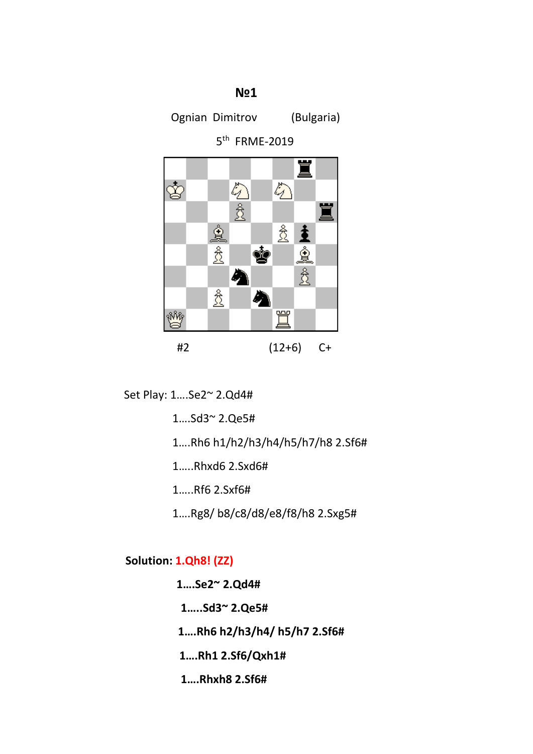**№1**

Ognian Dimitrov (Bulgaria)

5<sup>th</sup> FRME-2019



Set Play: 1….Se2~ 2.Qd4#

1….Sd3~ 2.Qe5#

1….Rh6 h1/h2/h3/h4/h5/h7/h8 2.Sf6#

1…..Rhxd6 2.Sxd6#

1…..Rf6 2.Sxf6#

1….Rg8/ b8/c8/d8/e8/f8/h8 2.Sxg5#

**Solution: 1.Qh8! (ZZ)**

 **1….Se2~ 2.Qd4#**

 **1…..Sd3~ 2.Qe5#**

 **1….Rh6 h2/h3/h4/ h5/h7 2.Sf6#**

 **1….Rh1 2.Sf6/Qxh1#**

 **1….Rhxh8 2.Sf6#**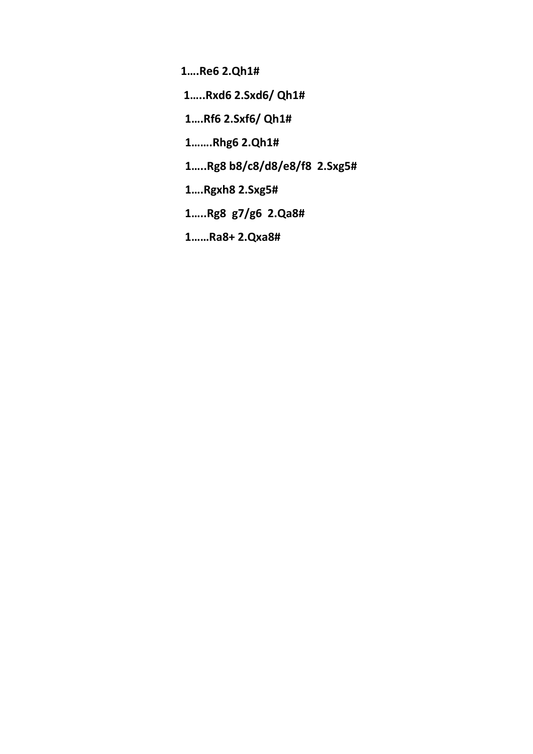**1….Re6 2.Qh1#**

 **1…..Rxd6 2.Sxd6/ Qh1#**

 **1….Rf6 2.Sxf6/ Qh1#**

 **1…….Rhg6 2.Qh1#** 

 **1…..Rg8 b8/c8/d8/e8/f8 2.Sxg5#**

 **1….Rgxh8 2.Sxg5#**

 **1…..Rg8 g7/g6 2.Qa8#**

 **1……Ra8+ 2.Qxa8#**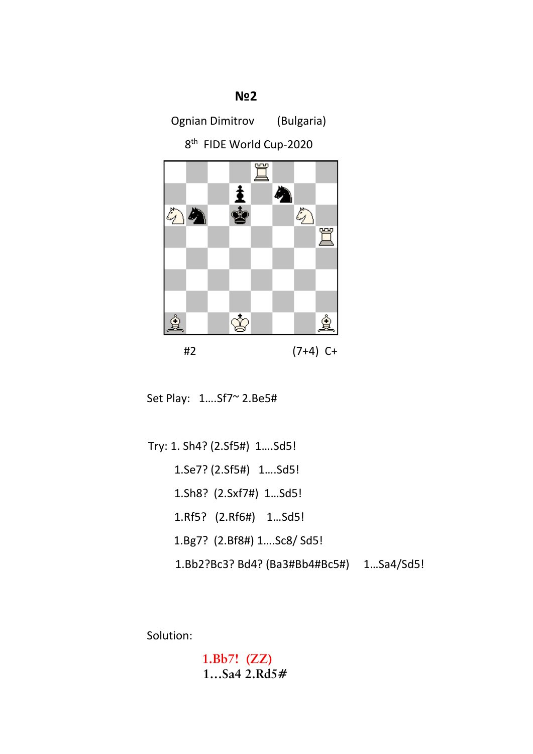

Ognian Dimitrov (Bulgaria)

8<sup>th</sup> FIDE World Cup-2020



Set Play: 1….Sf7~ 2.Be5#

 Try: 1. Sh4? (2.Sf5#) 1….Sd5! 1.Se7? (2.Sf5#) 1….Sd5! 1.Sh8? (2.Sxf7#) 1…Sd5! 1.Rf5? (2.Rf6#) 1…Sd5! 1.Bg7? (2.Bf8#) 1….Sc8/ Sd5! 1.Bb2?Bc3? Bd4? (Ba3#Bb4#Bc5#) 1…Sa4/Sd5!

Solution:

 **1.Bb7! (ZZ) 1…Sa4 2.Rd5#**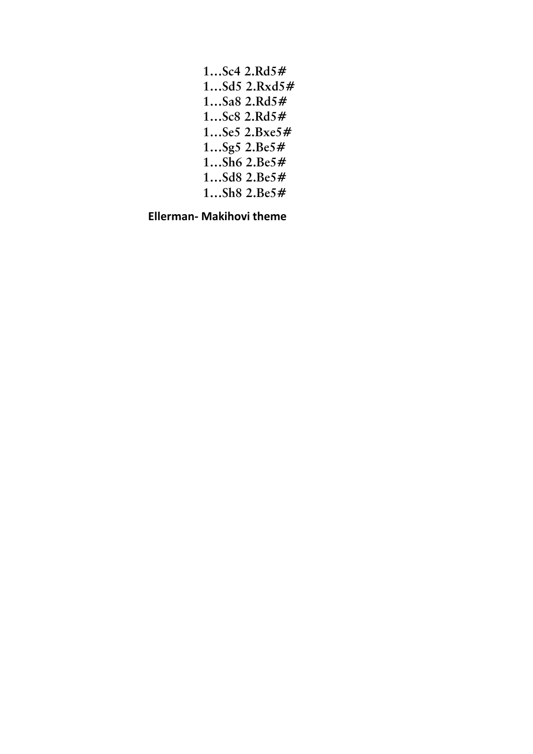| $1$ Sc4 $2.Rd5#$ |
|------------------|
| $1Sd5$ $2.Rxd5#$ |
| $1$ Sa $82.Rd5#$ |
| $1$ Sc8 $2.Rd5#$ |
| $1$ Se5 2.Bxe5#  |
| 1 $Sg5 2.Be5#$   |
| 1 $Sh6 2.Be5#$   |
| $1Sd8$ $2.Be5#$  |
| 1 $Sh8 2.Be5#$   |
|                  |

 **Ellerman- Makihovi theme**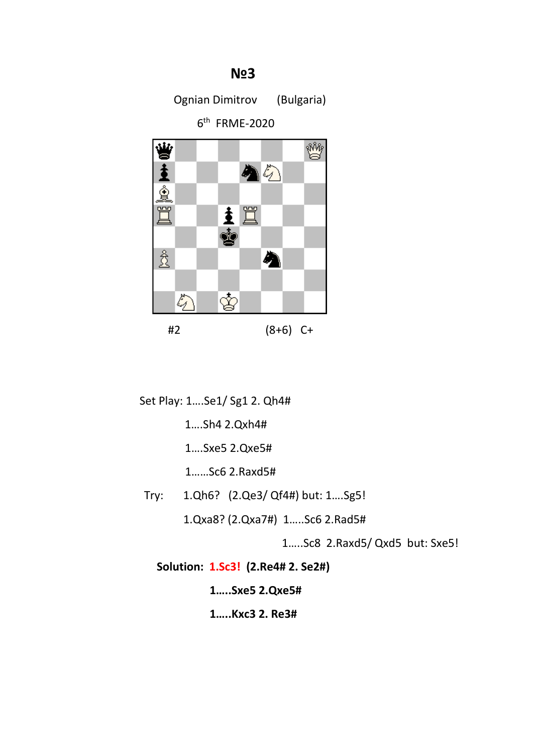## ₩ 23 M 23 M 23 M 23 M 23

Ognian Dimitrov (Bulgaria)

6th FRME-2020



Set Play: 1….Se1/ Sg1 2. Qh4#

1….Sh4 2.Qxh4#

1….Sxe5 2.Qxe5#

1……Sc6 2.Raxd5#

Try: 1.Qh6? (2.Qe3/ Qf4#) but: 1….Sg5!

1.Qxa8? (2.Qxa7#) 1…..Sc6 2.Rad5#

1…..Sc8 2.Raxd5/ Qxd5 but: Sxe5!

 **Solution: 1.Sc3! (2.Re4# 2. Se2#)**

**1…..Sxe5 2.Qxe5#**

**1…..Kxc3 2. Re3#**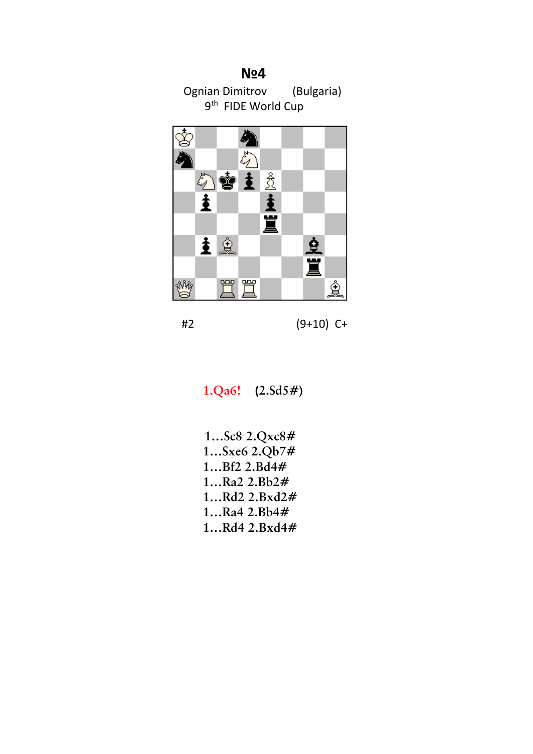

#2 (9+10) C+

 **1.Qa6! (2.Sd5#)**

 **1…Sc8 2.Qxc8# 1…Sxe6 2.Qb7# 1…Bf2 2.Bd4# 1…Ra2 2.Bb2# 1…Rd2 2.Bxd2# 1…Ra4 2.Bb4# 1…Rd4 2.Bxd4#**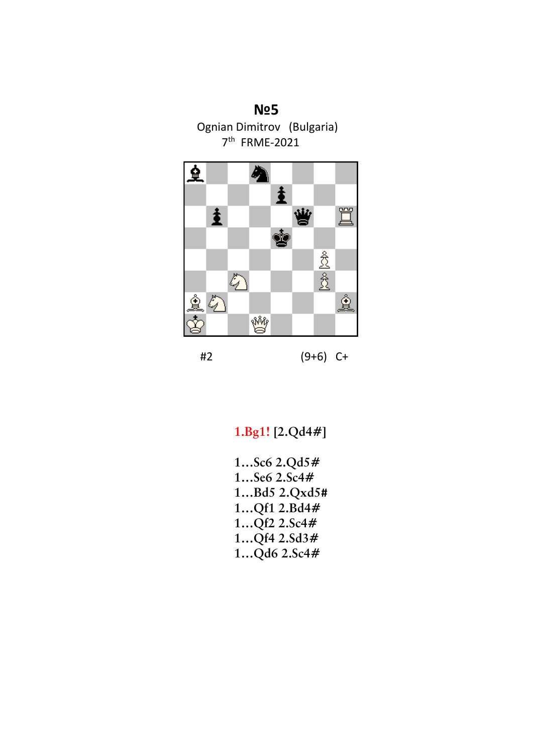## **№5**

Ognian Dimitrov (Bulgaria) 7th FRME-2021



#2 (9+6) C+

 **1.Bg1! [2.Qd4#]**

 **1…Sc6 2.Qd5# 1…Se6 2.Sc4# 1…Bd5 2.Qxd5# 1…Qf1 2.Bd4# 1…Qf2 2.Sc4# 1…Qf4 2.Sd3# 1…Qd6 2.Sc4#**